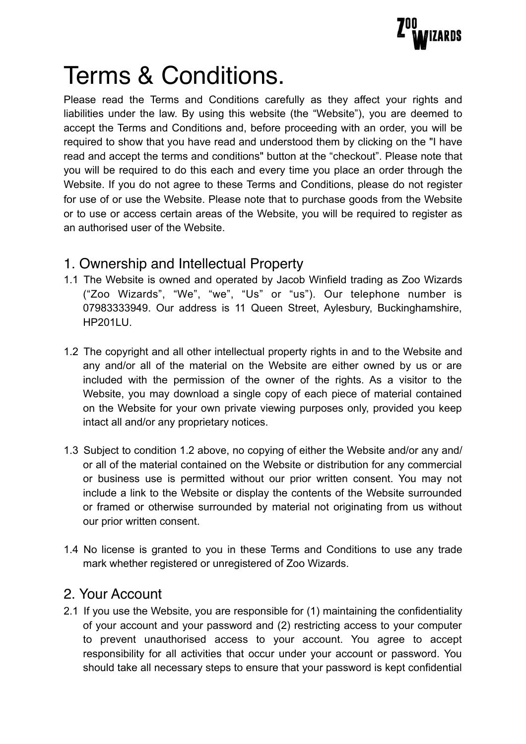

# Terms & Conditions.

Please read the Terms and Conditions carefully as they affect your rights and liabilities under the law. By using this website (the "Website"), you are deemed to accept the Terms and Conditions and, before proceeding with an order, you will be required to show that you have read and understood them by clicking on the "I have read and accept the terms and conditions" button at the "checkout". Please note that you will be required to do this each and every time you place an order through the Website. If you do not agree to these Terms and Conditions, please do not register for use of or use the Website. Please note that to purchase goods from the Website or to use or access certain areas of the Website, you will be required to register as an authorised user of the Website.

# 1. Ownership and Intellectual Property

- 1.1 The Website is owned and operated by Jacob Winfield trading as Zoo Wizards ("Zoo Wizards", "We", "we", "Us" or "us"). Our telephone number is 07983333949. Our address is 11 Queen Street, Aylesbury, Buckinghamshire, HP201LU.
- 1.2 The copyright and all other intellectual property rights in and to the Website and any and/or all of the material on the Website are either owned by us or are included with the permission of the owner of the rights. As a visitor to the Website, you may download a single copy of each piece of material contained on the Website for your own private viewing purposes only, provided you keep intact all and/or any proprietary notices.
- 1.3 Subject to condition 1.2 above, no copying of either the Website and/or any and/ or all of the material contained on the Website or distribution for any commercial or business use is permitted without our prior written consent. You may not include a link to the Website or display the contents of the Website surrounded or framed or otherwise surrounded by material not originating from us without our prior written consent.
- 1.4 No license is granted to you in these Terms and Conditions to use any trade mark whether registered or unregistered of Zoo Wizards.

## 2. Your Account

2.1 If you use the Website, you are responsible for (1) maintaining the confidentiality of your account and your password and (2) restricting access to your computer to prevent unauthorised access to your account. You agree to accept responsibility for all activities that occur under your account or password. You should take all necessary steps to ensure that your password is kept confidential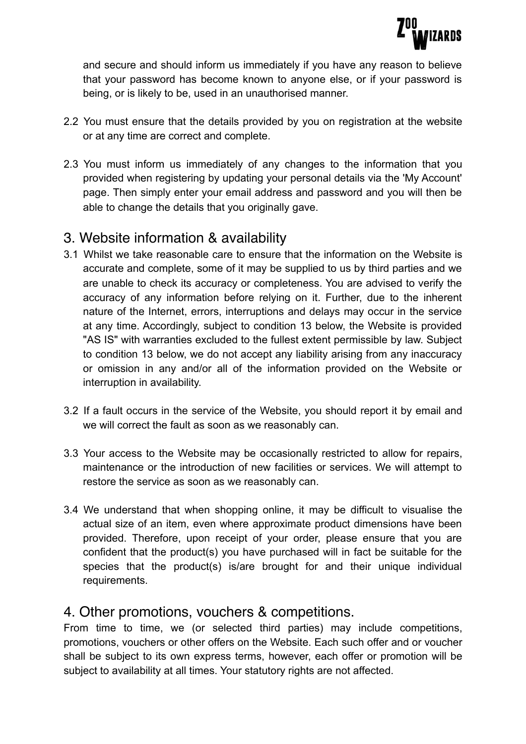

and secure and should inform us immediately if you have any reason to believe that your password has become known to anyone else, or if your password is being, or is likely to be, used in an unauthorised manner.

- 2.2 You must ensure that the details provided by you on registration at the website or at any time are correct and complete.
- 2.3 You must inform us immediately of any changes to the information that you provided when registering by updating your personal details via the 'My Account' page. Then simply enter your email address and password and you will then be able to change the details that you originally gave.

## 3. Website information & availability

- 3.1 Whilst we take reasonable care to ensure that the information on the Website is accurate and complete, some of it may be supplied to us by third parties and we are unable to check its accuracy or completeness. You are advised to verify the accuracy of any information before relying on it. Further, due to the inherent nature of the Internet, errors, interruptions and delays may occur in the service at any time. Accordingly, subject to condition 13 below, the Website is provided "AS IS" with warranties excluded to the fullest extent permissible by law. Subject to condition 13 below, we do not accept any liability arising from any inaccuracy or omission in any and/or all of the information provided on the Website or interruption in availability.
- 3.2 If a fault occurs in the service of the Website, you should report it by email and we will correct the fault as soon as we reasonably can.
- 3.3 Your access to the Website may be occasionally restricted to allow for repairs, maintenance or the introduction of new facilities or services. We will attempt to restore the service as soon as we reasonably can.
- 3.4 We understand that when shopping online, it may be difficult to visualise the actual size of an item, even where approximate product dimensions have been provided. Therefore, upon receipt of your order, please ensure that you are confident that the product(s) you have purchased will in fact be suitable for the species that the product(s) is/are brought for and their unique individual requirements.

## 4. Other promotions, vouchers & competitions.

From time to time, we (or selected third parties) may include competitions, promotions, vouchers or other offers on the Website. Each such offer and or voucher shall be subject to its own express terms, however, each offer or promotion will be subject to availability at all times. Your statutory rights are not affected.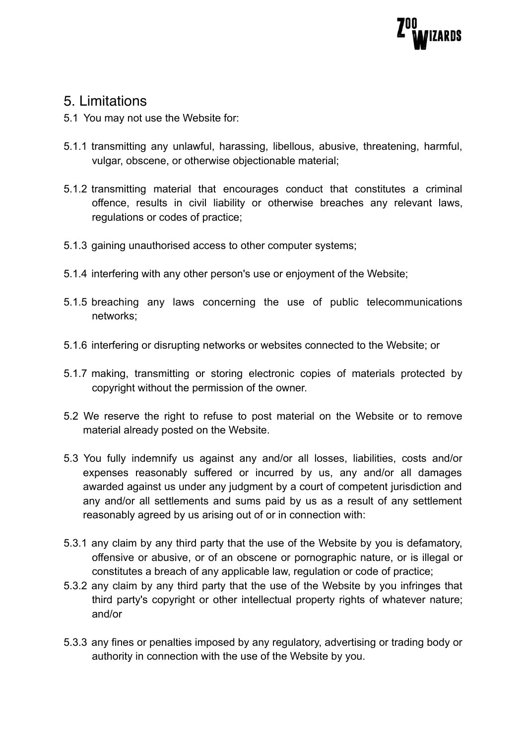

#### 5. Limitations

- 5.1 You may not use the Website for:
- 5.1.1 transmitting any unlawful, harassing, libellous, abusive, threatening, harmful, vulgar, obscene, or otherwise objectionable material;
- 5.1.2 transmitting material that encourages conduct that constitutes a criminal offence, results in civil liability or otherwise breaches any relevant laws, regulations or codes of practice;
- 5.1.3 gaining unauthorised access to other computer systems;
- 5.1.4 interfering with any other person's use or enjoyment of the Website;
- 5.1.5 breaching any laws concerning the use of public telecommunications networks;
- 5.1.6 interfering or disrupting networks or websites connected to the Website; or
- 5.1.7 making, transmitting or storing electronic copies of materials protected by copyright without the permission of the owner.
- 5.2 We reserve the right to refuse to post material on the Website or to remove material already posted on the Website.
- 5.3 You fully indemnify us against any and/or all losses, liabilities, costs and/or expenses reasonably suffered or incurred by us, any and/or all damages awarded against us under any judgment by a court of competent jurisdiction and any and/or all settlements and sums paid by us as a result of any settlement reasonably agreed by us arising out of or in connection with:
- 5.3.1 any claim by any third party that the use of the Website by you is defamatory, offensive or abusive, or of an obscene or pornographic nature, or is illegal or constitutes a breach of any applicable law, regulation or code of practice;
- 5.3.2 any claim by any third party that the use of the Website by you infringes that third party's copyright or other intellectual property rights of whatever nature; and/or
- 5.3.3 any fines or penalties imposed by any regulatory, advertising or trading body or authority in connection with the use of the Website by you.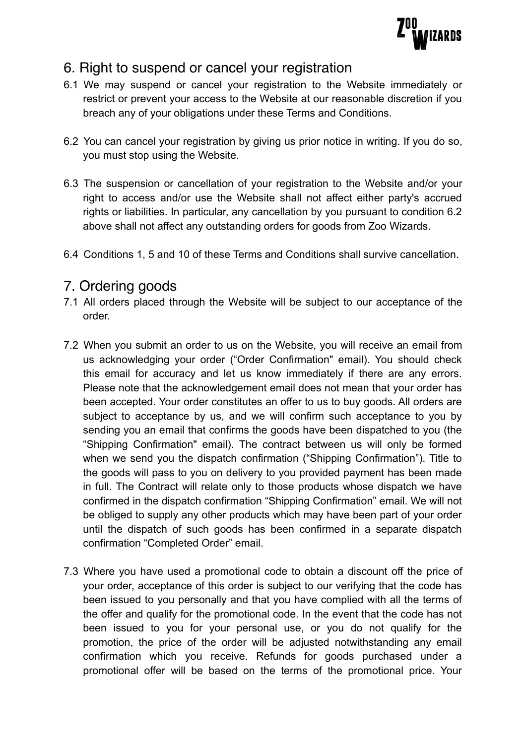

# 6. Right to suspend or cancel your registration

- 6.1 We may suspend or cancel your registration to the Website immediately or restrict or prevent your access to the Website at our reasonable discretion if you breach any of your obligations under these Terms and Conditions.
- 6.2 You can cancel your registration by giving us prior notice in writing. If you do so, you must stop using the Website.
- 6.3 The suspension or cancellation of your registration to the Website and/or your right to access and/or use the Website shall not affect either party's accrued rights or liabilities. In particular, any cancellation by you pursuant to condition 6.2 above shall not affect any outstanding orders for goods from Zoo Wizards.
- 6.4 Conditions 1, 5 and 10 of these Terms and Conditions shall survive cancellation.

#### 7. Ordering goods

- 7.1 All orders placed through the Website will be subject to our acceptance of the order.
- 7.2 When you submit an order to us on the Website, you will receive an email from us acknowledging your order ("Order Confirmation" email). You should check this email for accuracy and let us know immediately if there are any errors. Please note that the acknowledgement email does not mean that your order has been accepted. Your order constitutes an offer to us to buy goods. All orders are subject to acceptance by us, and we will confirm such acceptance to you by sending you an email that confirms the goods have been dispatched to you (the "Shipping Confirmation" email). The contract between us will only be formed when we send you the dispatch confirmation ("Shipping Confirmation"). Title to the goods will pass to you on delivery to you provided payment has been made in full. The Contract will relate only to those products whose dispatch we have confirmed in the dispatch confirmation "Shipping Confirmation" email. We will not be obliged to supply any other products which may have been part of your order until the dispatch of such goods has been confirmed in a separate dispatch confirmation "Completed Order" email.
- 7.3 Where you have used a promotional code to obtain a discount off the price of your order, acceptance of this order is subject to our verifying that the code has been issued to you personally and that you have complied with all the terms of the offer and qualify for the promotional code. In the event that the code has not been issued to you for your personal use, or you do not qualify for the promotion, the price of the order will be adjusted notwithstanding any email confirmation which you receive. Refunds for goods purchased under a promotional offer will be based on the terms of the promotional price. Your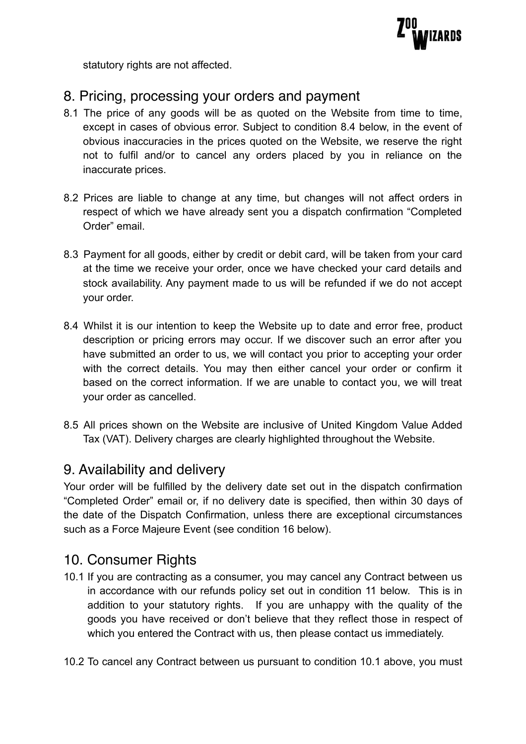

statutory rights are not affected.

# 8. Pricing, processing your orders and payment

- 8.1 The price of any goods will be as quoted on the Website from time to time, except in cases of obvious error. Subject to condition 8.4 below, in the event of obvious inaccuracies in the prices quoted on the Website, we reserve the right not to fulfil and/or to cancel any orders placed by you in reliance on the inaccurate prices.
- 8.2 Prices are liable to change at any time, but changes will not affect orders in respect of which we have already sent you a dispatch confirmation "Completed Order" email.
- 8.3 Payment for all goods, either by credit or debit card, will be taken from your card at the time we receive your order, once we have checked your card details and stock availability. Any payment made to us will be refunded if we do not accept your order.
- 8.4 Whilst it is our intention to keep the Website up to date and error free, product description or pricing errors may occur. If we discover such an error after you have submitted an order to us, we will contact you prior to accepting your order with the correct details. You may then either cancel your order or confirm it based on the correct information. If we are unable to contact you, we will treat your order as cancelled.
- 8.5 All prices shown on the Website are inclusive of United Kingdom Value Added Tax (VAT). Delivery charges are clearly highlighted throughout the Website.

## 9. Availability and delivery

Your order will be fulfilled by the delivery date set out in the dispatch confirmation "Completed Order" email or, if no delivery date is specified, then within 30 days of the date of the Dispatch Confirmation, unless there are exceptional circumstances such as a Force Majeure Event (see condition 16 below).

## 10. Consumer Rights

10.1 If you are contracting as a consumer, you may cancel any Contract between us in accordance with our refunds policy set out in condition 11 below. This is in addition to your statutory rights. If you are unhappy with the quality of the goods you have received or don't believe that they reflect those in respect of which you entered the Contract with us, then please contact us immediately.

10.2 To cancel any Contract between us pursuant to condition 10.1 above, you must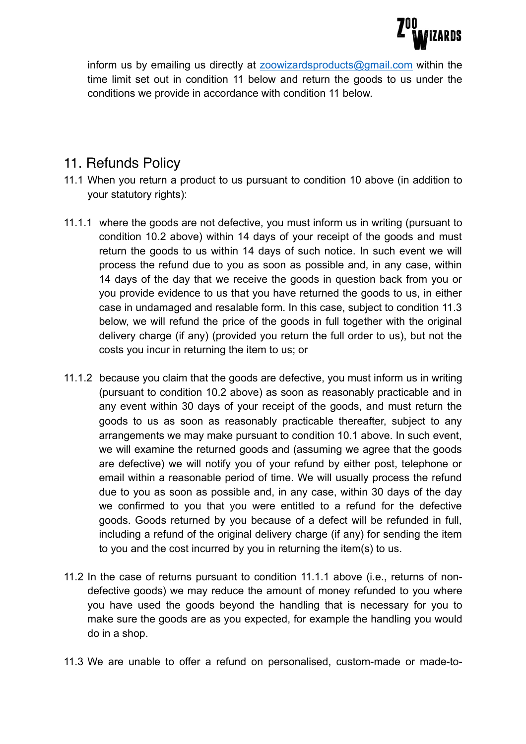

inform us by emailing us directly at [zoowizardsproducts@gmail.com](mailto:zoowizardsproducts@gmail.com) within the time limit set out in condition 11 below and return the goods to us under the conditions we provide in accordance with condition 11 below.

#### 11. Refunds Policy

- 11.1 When you return a product to us pursuant to condition 10 above (in addition to your statutory rights):
- 11.1.1 where the goods are not defective, you must inform us in writing (pursuant to condition 10.2 above) within 14 days of your receipt of the goods and must return the goods to us within 14 days of such notice. In such event we will process the refund due to you as soon as possible and, in any case, within 14 days of the day that we receive the goods in question back from you or you provide evidence to us that you have returned the goods to us, in either case in undamaged and resalable form. In this case, subject to condition 11.3 below, we will refund the price of the goods in full together with the original delivery charge (if any) (provided you return the full order to us), but not the costs you incur in returning the item to us; or
- 11.1.2 because you claim that the goods are defective, you must inform us in writing (pursuant to condition 10.2 above) as soon as reasonably practicable and in any event within 30 days of your receipt of the goods, and must return the goods to us as soon as reasonably practicable thereafter, subject to any arrangements we may make pursuant to condition 10.1 above. In such event, we will examine the returned goods and (assuming we agree that the goods are defective) we will notify you of your refund by either post, telephone or email within a reasonable period of time. We will usually process the refund due to you as soon as possible and, in any case, within 30 days of the day we confirmed to you that you were entitled to a refund for the defective goods. Goods returned by you because of a defect will be refunded in full, including a refund of the original delivery charge (if any) for sending the item to you and the cost incurred by you in returning the item(s) to us.
- 11.2 In the case of returns pursuant to condition 11.1.1 above (i.e., returns of nondefective goods) we may reduce the amount of money refunded to you where you have used the goods beyond the handling that is necessary for you to make sure the goods are as you expected, for example the handling you would do in a shop.
- 11.3 We are unable to offer a refund on personalised, custom-made or made-to-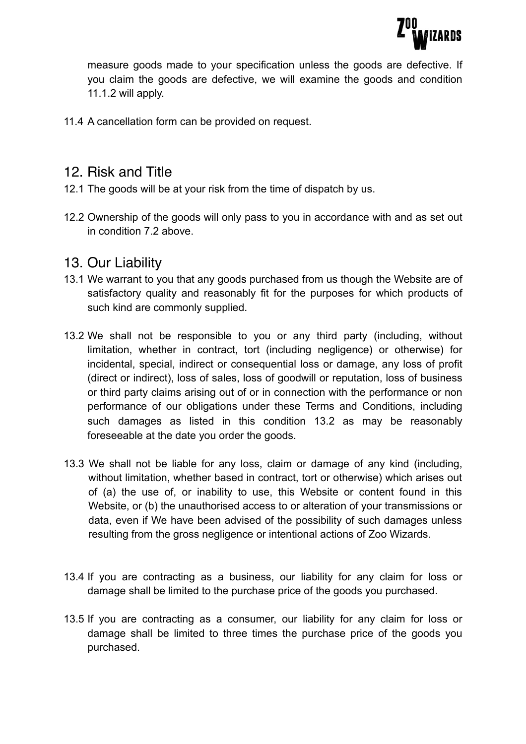

measure goods made to your specification unless the goods are defective. If you claim the goods are defective, we will examine the goods and condition 11.1.2 will apply.

11.4 A cancellation form can be provided on request.

#### 12. Risk and Title

- 12.1 The goods will be at your risk from the time of dispatch by us.
- 12.2 Ownership of the goods will only pass to you in accordance with and as set out in condition 7.2 above.

#### 13. Our Liability

- 13.1 We warrant to you that any goods purchased from us though the Website are of satisfactory quality and reasonably fit for the purposes for which products of such kind are commonly supplied.
- 13.2 We shall not be responsible to you or any third party (including, without limitation, whether in contract, tort (including negligence) or otherwise) for incidental, special, indirect or consequential loss or damage, any loss of profit (direct or indirect), loss of sales, loss of goodwill or reputation, loss of business or third party claims arising out of or in connection with the performance or non performance of our obligations under these Terms and Conditions, including such damages as listed in this condition 13.2 as may be reasonably foreseeable at the date you order the goods.
- 13.3 We shall not be liable for any loss, claim or damage of any kind (including, without limitation, whether based in contract, tort or otherwise) which arises out of (a) the use of, or inability to use, this Website or content found in this Website, or (b) the unauthorised access to or alteration of your transmissions or data, even if We have been advised of the possibility of such damages unless resulting from the gross negligence or intentional actions of Zoo Wizards.
- 13.4 If you are contracting as a business, our liability for any claim for loss or damage shall be limited to the purchase price of the goods you purchased.
- 13.5 If you are contracting as a consumer, our liability for any claim for loss or damage shall be limited to three times the purchase price of the goods you purchased.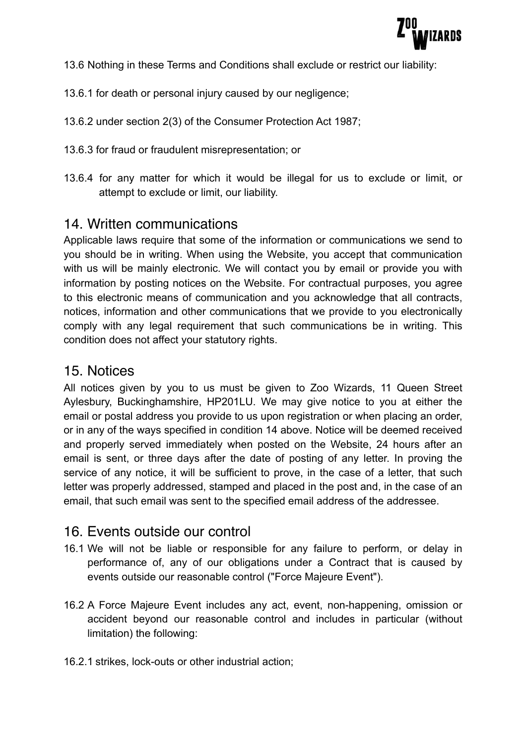

- 13.6 Nothing in these Terms and Conditions shall exclude or restrict our liability:
- 13.6.1 for death or personal injury caused by our negligence;
- 13.6.2 under section 2(3) of the Consumer Protection Act 1987;
- 13.6.3 for fraud or fraudulent misrepresentation; or
- 13.6.4 for any matter for which it would be illegal for us to exclude or limit, or attempt to exclude or limit, our liability.

#### 14. Written communications

Applicable laws require that some of the information or communications we send to you should be in writing. When using the Website, you accept that communication with us will be mainly electronic. We will contact you by email or provide you with information by posting notices on the Website. For contractual purposes, you agree to this electronic means of communication and you acknowledge that all contracts, notices, information and other communications that we provide to you electronically comply with any legal requirement that such communications be in writing. This condition does not affect your statutory rights.

#### 15. Notices

All notices given by you to us must be given to Zoo Wizards, 11 Queen Street Aylesbury, Buckinghamshire, HP201LU. We may give notice to you at either the email or postal address you provide to us upon registration or when placing an order, or in any of the ways specified in condition 14 above. Notice will be deemed received and properly served immediately when posted on the Website, 24 hours after an email is sent, or three days after the date of posting of any letter. In proving the service of any notice, it will be sufficient to prove, in the case of a letter, that such letter was properly addressed, stamped and placed in the post and, in the case of an email, that such email was sent to the specified email address of the addressee.

## 16. Events outside our control

- 16.1 We will not be liable or responsible for any failure to perform, or delay in performance of, any of our obligations under a Contract that is caused by events outside our reasonable control ("Force Majeure Event").
- 16.2 A Force Majeure Event includes any act, event, non-happening, omission or accident beyond our reasonable control and includes in particular (without limitation) the following:
- 16.2.1 strikes, lock-outs or other industrial action;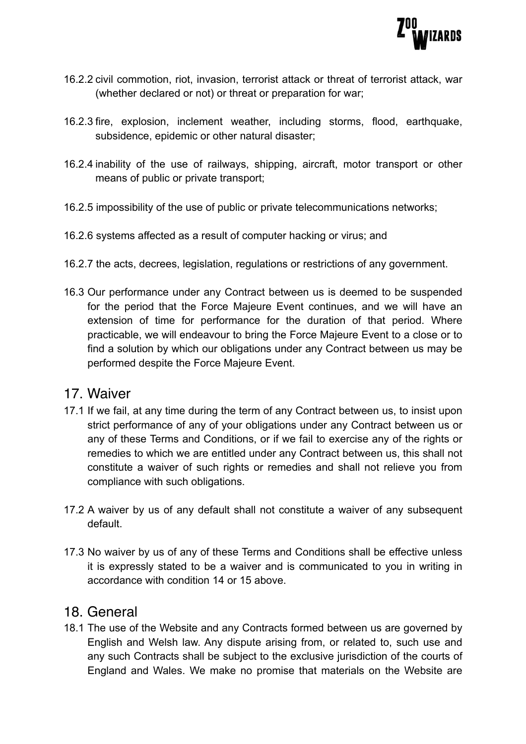

- 16.2.2 civil commotion, riot, invasion, terrorist attack or threat of terrorist attack, war (whether declared or not) or threat or preparation for war;
- 16.2.3 fire, explosion, inclement weather, including storms, flood, earthquake, subsidence, epidemic or other natural disaster;
- 16.2.4 inability of the use of railways, shipping, aircraft, motor transport or other means of public or private transport;
- 16.2.5 impossibility of the use of public or private telecommunications networks;
- 16.2.6 systems affected as a result of computer hacking or virus; and
- 16.2.7 the acts, decrees, legislation, regulations or restrictions of any government.
- 16.3 Our performance under any Contract between us is deemed to be suspended for the period that the Force Majeure Event continues, and we will have an extension of time for performance for the duration of that period. Where practicable, we will endeavour to bring the Force Majeure Event to a close or to find a solution by which our obligations under any Contract between us may be performed despite the Force Majeure Event.

#### 17. Waiver

- 17.1 If we fail, at any time during the term of any Contract between us, to insist upon strict performance of any of your obligations under any Contract between us or any of these Terms and Conditions, or if we fail to exercise any of the rights or remedies to which we are entitled under any Contract between us, this shall not constitute a waiver of such rights or remedies and shall not relieve you from compliance with such obligations.
- 17.2 A waiver by us of any default shall not constitute a waiver of any subsequent default.
- 17.3 No waiver by us of any of these Terms and Conditions shall be effective unless it is expressly stated to be a waiver and is communicated to you in writing in accordance with condition 14 or 15 above.

#### 18. General

18.1 The use of the Website and any Contracts formed between us are governed by English and Welsh law. Any dispute arising from, or related to, such use and any such Contracts shall be subject to the exclusive jurisdiction of the courts of England and Wales. We make no promise that materials on the Website are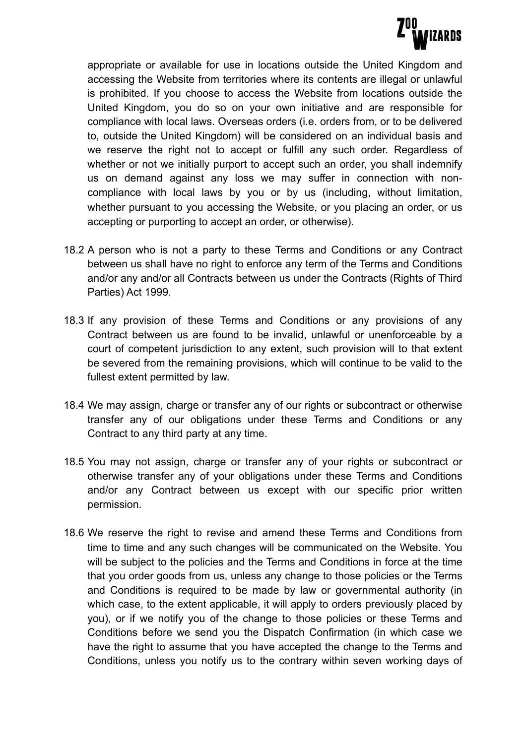

appropriate or available for use in locations outside the United Kingdom and accessing the Website from territories where its contents are illegal or unlawful is prohibited. If you choose to access the Website from locations outside the United Kingdom, you do so on your own initiative and are responsible for compliance with local laws. Overseas orders (i.e. orders from, or to be delivered to, outside the United Kingdom) will be considered on an individual basis and we reserve the right not to accept or fulfill any such order. Regardless of whether or not we initially purport to accept such an order, you shall indemnify us on demand against any loss we may suffer in connection with noncompliance with local laws by you or by us (including, without limitation, whether pursuant to you accessing the Website, or you placing an order, or us accepting or purporting to accept an order, or otherwise).

- 18.2 A person who is not a party to these Terms and Conditions or any Contract between us shall have no right to enforce any term of the Terms and Conditions and/or any and/or all Contracts between us under the Contracts (Rights of Third Parties) Act 1999.
- 18.3 If any provision of these Terms and Conditions or any provisions of any Contract between us are found to be invalid, unlawful or unenforceable by a court of competent jurisdiction to any extent, such provision will to that extent be severed from the remaining provisions, which will continue to be valid to the fullest extent permitted by law.
- 18.4 We may assign, charge or transfer any of our rights or subcontract or otherwise transfer any of our obligations under these Terms and Conditions or any Contract to any third party at any time.
- 18.5 You may not assign, charge or transfer any of your rights or subcontract or otherwise transfer any of your obligations under these Terms and Conditions and/or any Contract between us except with our specific prior written permission.
- 18.6 We reserve the right to revise and amend these Terms and Conditions from time to time and any such changes will be communicated on the Website. You will be subject to the policies and the Terms and Conditions in force at the time that you order goods from us, unless any change to those policies or the Terms and Conditions is required to be made by law or governmental authority (in which case, to the extent applicable, it will apply to orders previously placed by you), or if we notify you of the change to those policies or these Terms and Conditions before we send you the Dispatch Confirmation (in which case we have the right to assume that you have accepted the change to the Terms and Conditions, unless you notify us to the contrary within seven working days of